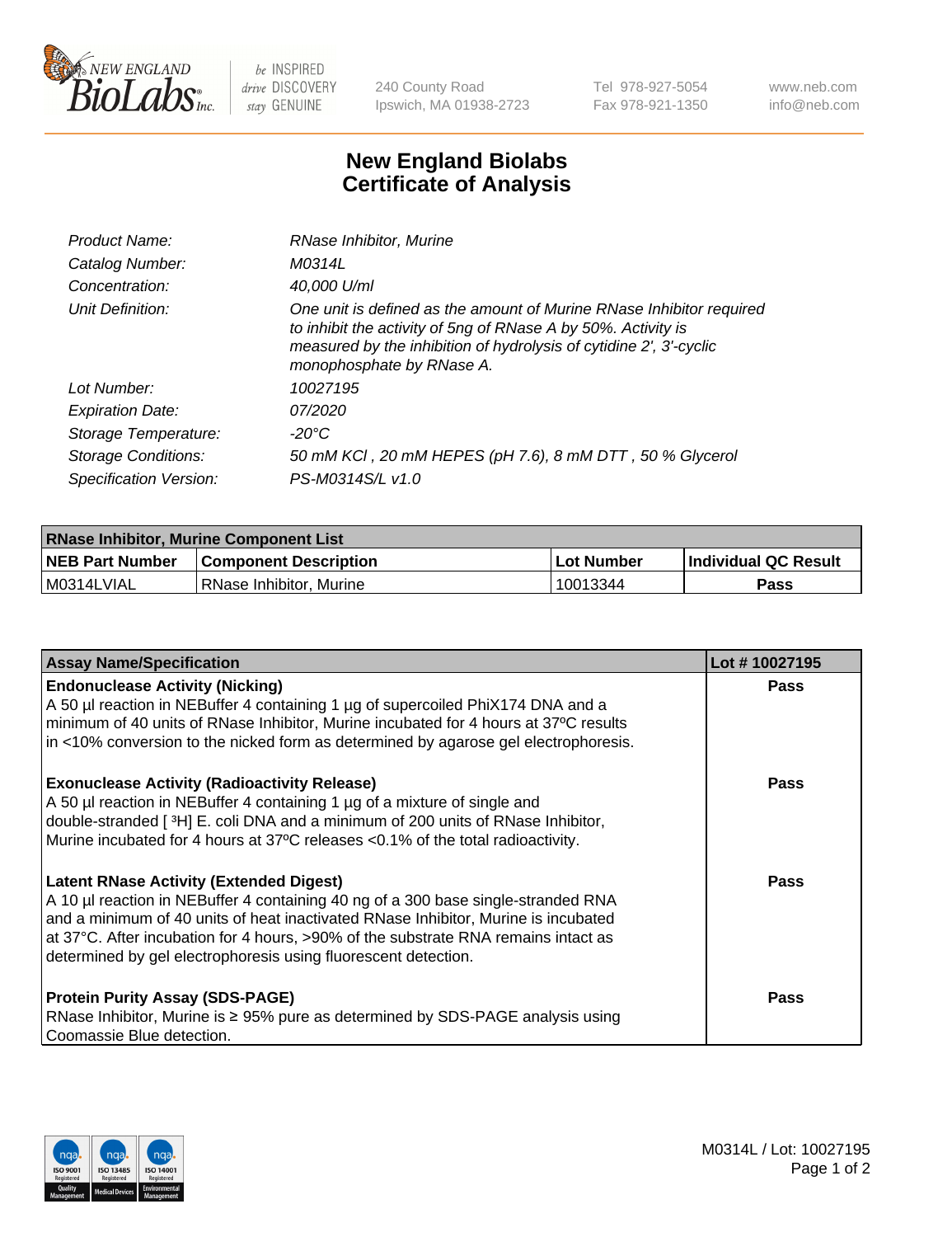

 $be$  INSPIRED drive DISCOVERY stay GENUINE

240 County Road Ipswich, MA 01938-2723 Tel 978-927-5054 Fax 978-921-1350 www.neb.com info@neb.com

## **New England Biolabs Certificate of Analysis**

| Product Name:              | RNase Inhibitor, Murine                                                                                                                                                                                                                  |
|----------------------------|------------------------------------------------------------------------------------------------------------------------------------------------------------------------------------------------------------------------------------------|
| Catalog Number:            | M0314L                                                                                                                                                                                                                                   |
| Concentration:             | 40,000 U/ml                                                                                                                                                                                                                              |
| Unit Definition:           | One unit is defined as the amount of Murine RNase Inhibitor required<br>to inhibit the activity of 5ng of RNase A by 50%. Activity is<br>measured by the inhibition of hydrolysis of cytidine 2', 3'-cyclic<br>monophosphate by RNase A. |
| Lot Number:                | 10027195                                                                                                                                                                                                                                 |
| <b>Expiration Date:</b>    | 07/2020                                                                                                                                                                                                                                  |
| Storage Temperature:       | -20°C                                                                                                                                                                                                                                    |
| <b>Storage Conditions:</b> | 50 mM KCl, 20 mM HEPES (pH 7.6), 8 mM DTT, 50 % Glycerol                                                                                                                                                                                 |
| Specification Version:     | PS-M0314S/L v1.0                                                                                                                                                                                                                         |

| <b>RNase Inhibitor, Murine Component List</b> |                              |                   |                             |  |
|-----------------------------------------------|------------------------------|-------------------|-----------------------------|--|
| <b>NEB Part Number</b>                        | <b>Component Description</b> | <b>Lot Number</b> | <b>Individual QC Result</b> |  |
| M0314LVIAL                                    | l RNase Inhibitor. Murine    | 10013344          | <b>Pass</b>                 |  |

| <b>Assay Name/Specification</b>                                                                                                                                                                                                                                                                                                                                                   | Lot #10027195 |
|-----------------------------------------------------------------------------------------------------------------------------------------------------------------------------------------------------------------------------------------------------------------------------------------------------------------------------------------------------------------------------------|---------------|
| <b>Endonuclease Activity (Nicking)</b><br>A 50 µl reaction in NEBuffer 4 containing 1 µg of supercoiled PhiX174 DNA and a                                                                                                                                                                                                                                                         | <b>Pass</b>   |
| minimum of 40 units of RNase Inhibitor, Murine incubated for 4 hours at 37°C results<br>in <10% conversion to the nicked form as determined by agarose gel electrophoresis.                                                                                                                                                                                                       |               |
| <b>Exonuclease Activity (Radioactivity Release)</b><br>A 50 µl reaction in NEBuffer 4 containing 1 µg of a mixture of single and<br>double-stranded [3H] E. coli DNA and a minimum of 200 units of RNase Inhibitor,<br>Murine incubated for 4 hours at 37°C releases <0.1% of the total radioactivity.                                                                            | <b>Pass</b>   |
| <b>Latent RNase Activity (Extended Digest)</b><br>A 10 µl reaction in NEBuffer 4 containing 40 ng of a 300 base single-stranded RNA<br>and a minimum of 40 units of heat inactivated RNase Inhibitor, Murine is incubated<br>at 37°C. After incubation for 4 hours, >90% of the substrate RNA remains intact as<br>determined by gel electrophoresis using fluorescent detection. | <b>Pass</b>   |
| <b>Protein Purity Assay (SDS-PAGE)</b><br>RNase Inhibitor, Murine is ≥ 95% pure as determined by SDS-PAGE analysis using<br>Coomassie Blue detection.                                                                                                                                                                                                                             | Pass          |